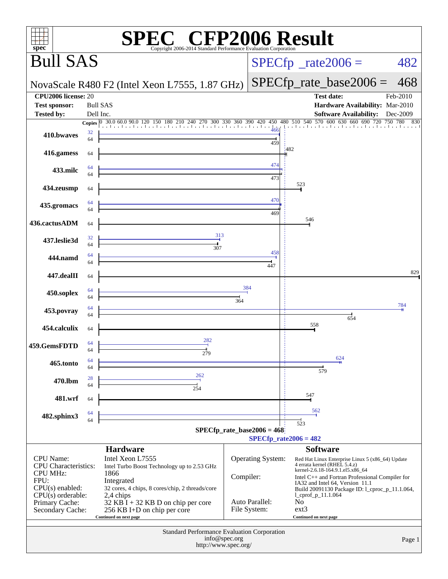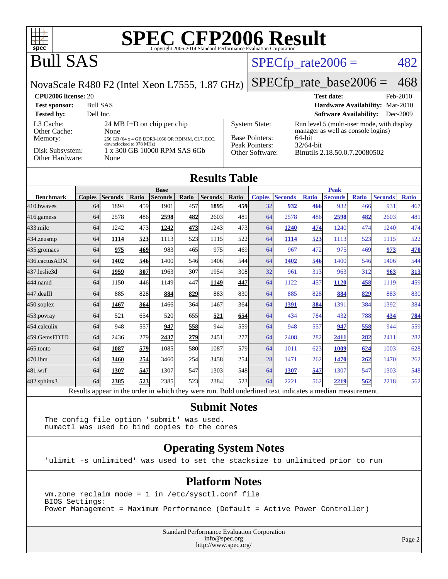

#### **[Submit Notes](http://www.spec.org/auto/cpu2006/Docs/result-fields.html#SubmitNotes)**

The config file option 'submit' was used. numactl was used to bind copies to the cores

#### **[Operating System Notes](http://www.spec.org/auto/cpu2006/Docs/result-fields.html#OperatingSystemNotes)**

'ulimit -s unlimited' was used to set the stacksize to unlimited prior to run

#### **[Platform Notes](http://www.spec.org/auto/cpu2006/Docs/result-fields.html#PlatformNotes)**

vm.zone\_reclaim\_mode = 1 in /etc/sysctl.conf file BIOS Settings: Power Management = Maximum Performance (Default = Active Power Controller)

> Standard Performance Evaluation Corporation [info@spec.org](mailto:info@spec.org) <http://www.spec.org/>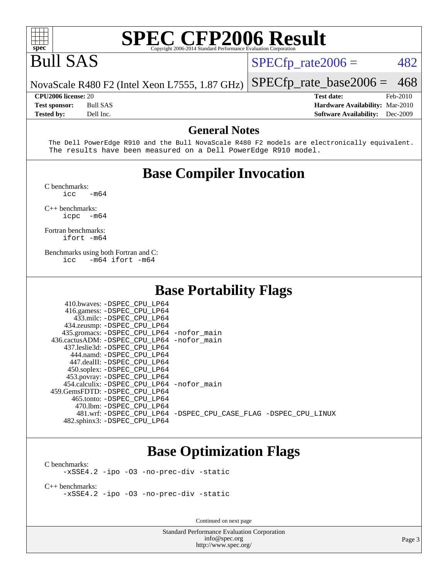

## Bull SAS

 $SPECTp_rate2006 = 482$ 

[SPECfp\\_rate\\_base2006 =](http://www.spec.org/auto/cpu2006/Docs/result-fields.html#SPECfpratebase2006) 468

NovaScale R480 F2 (Intel Xeon L7555, 1.87 GHz)

**[CPU2006 license:](http://www.spec.org/auto/cpu2006/Docs/result-fields.html#CPU2006license)** 20 **[Test date:](http://www.spec.org/auto/cpu2006/Docs/result-fields.html#Testdate)** Feb-2010 **[Test sponsor:](http://www.spec.org/auto/cpu2006/Docs/result-fields.html#Testsponsor)** Bull SAS **[Hardware Availability:](http://www.spec.org/auto/cpu2006/Docs/result-fields.html#HardwareAvailability)** Mar-2010 **[Tested by:](http://www.spec.org/auto/cpu2006/Docs/result-fields.html#Testedby)** Dell Inc. **[Software Availability:](http://www.spec.org/auto/cpu2006/Docs/result-fields.html#SoftwareAvailability)** Dec-2009

#### **[General Notes](http://www.spec.org/auto/cpu2006/Docs/result-fields.html#GeneralNotes)**

 The Dell PowerEdge R910 and the Bull NovaScale R480 F2 models are electronically equivalent. The results have been measured on a Dell PowerEdge R910 model.

### **[Base Compiler Invocation](http://www.spec.org/auto/cpu2006/Docs/result-fields.html#BaseCompilerInvocation)**

[C benchmarks](http://www.spec.org/auto/cpu2006/Docs/result-fields.html#Cbenchmarks):  $\frac{1}{2}$ cc  $-\text{m64}$ 

[C++ benchmarks:](http://www.spec.org/auto/cpu2006/Docs/result-fields.html#CXXbenchmarks)

[icpc -m64](http://www.spec.org/cpu2006/results/res2010q3/cpu2006-20100621-11969.flags.html#user_CXXbase_intel_icpc_64bit_bedb90c1146cab66620883ef4f41a67e)

[Fortran benchmarks](http://www.spec.org/auto/cpu2006/Docs/result-fields.html#Fortranbenchmarks): [ifort -m64](http://www.spec.org/cpu2006/results/res2010q3/cpu2006-20100621-11969.flags.html#user_FCbase_intel_ifort_64bit_ee9d0fb25645d0210d97eb0527dcc06e)

[Benchmarks using both Fortran and C](http://www.spec.org/auto/cpu2006/Docs/result-fields.html#BenchmarksusingbothFortranandC): [icc -m64](http://www.spec.org/cpu2006/results/res2010q3/cpu2006-20100621-11969.flags.html#user_CC_FCbase_intel_icc_64bit_0b7121f5ab7cfabee23d88897260401c) [ifort -m64](http://www.spec.org/cpu2006/results/res2010q3/cpu2006-20100621-11969.flags.html#user_CC_FCbase_intel_ifort_64bit_ee9d0fb25645d0210d97eb0527dcc06e)

#### **[Base Portability Flags](http://www.spec.org/auto/cpu2006/Docs/result-fields.html#BasePortabilityFlags)**

| 410.bwaves: -DSPEC CPU LP64                  |                                                                |
|----------------------------------------------|----------------------------------------------------------------|
| 416.gamess: -DSPEC_CPU_LP64                  |                                                                |
| 433.milc: -DSPEC CPU LP64                    |                                                                |
| 434.zeusmp: -DSPEC_CPU_LP64                  |                                                                |
| 435.gromacs: -DSPEC_CPU_LP64 -nofor_main     |                                                                |
| 436.cactusADM: - DSPEC CPU LP64 - nofor main |                                                                |
| 437.leslie3d: -DSPEC CPU LP64                |                                                                |
| 444.namd: -DSPEC CPU LP64                    |                                                                |
| 447.dealII: -DSPEC_CPU LP64                  |                                                                |
| 450.soplex: -DSPEC_CPU_LP64                  |                                                                |
| 453.povray: -DSPEC_CPU_LP64                  |                                                                |
| 454.calculix: - DSPEC CPU LP64 - nofor main  |                                                                |
| 459. GemsFDTD: - DSPEC CPU LP64              |                                                                |
| 465.tonto: - DSPEC CPU LP64                  |                                                                |
| 470.1bm: -DSPEC CPU LP64                     |                                                                |
|                                              | 481.wrf: -DSPEC CPU_LP64 -DSPEC_CPU_CASE_FLAG -DSPEC_CPU_LINUX |
| 482.sphinx3: -DSPEC_CPU_LP64                 |                                                                |

#### **[Base Optimization Flags](http://www.spec.org/auto/cpu2006/Docs/result-fields.html#BaseOptimizationFlags)**

[C benchmarks](http://www.spec.org/auto/cpu2006/Docs/result-fields.html#Cbenchmarks): [-xSSE4.2](http://www.spec.org/cpu2006/results/res2010q3/cpu2006-20100621-11969.flags.html#user_CCbase_f-xSSE42_f91528193cf0b216347adb8b939d4107) [-ipo](http://www.spec.org/cpu2006/results/res2010q3/cpu2006-20100621-11969.flags.html#user_CCbase_f-ipo) [-O3](http://www.spec.org/cpu2006/results/res2010q3/cpu2006-20100621-11969.flags.html#user_CCbase_f-O3) [-no-prec-div](http://www.spec.org/cpu2006/results/res2010q3/cpu2006-20100621-11969.flags.html#user_CCbase_f-no-prec-div) [-static](http://www.spec.org/cpu2006/results/res2010q3/cpu2006-20100621-11969.flags.html#user_CCbase_f-static)

[C++ benchmarks:](http://www.spec.org/auto/cpu2006/Docs/result-fields.html#CXXbenchmarks) [-xSSE4.2](http://www.spec.org/cpu2006/results/res2010q3/cpu2006-20100621-11969.flags.html#user_CXXbase_f-xSSE42_f91528193cf0b216347adb8b939d4107) [-ipo](http://www.spec.org/cpu2006/results/res2010q3/cpu2006-20100621-11969.flags.html#user_CXXbase_f-ipo) [-O3](http://www.spec.org/cpu2006/results/res2010q3/cpu2006-20100621-11969.flags.html#user_CXXbase_f-O3) [-no-prec-div](http://www.spec.org/cpu2006/results/res2010q3/cpu2006-20100621-11969.flags.html#user_CXXbase_f-no-prec-div) [-static](http://www.spec.org/cpu2006/results/res2010q3/cpu2006-20100621-11969.flags.html#user_CXXbase_f-static)

Continued on next page

Standard Performance Evaluation Corporation [info@spec.org](mailto:info@spec.org) <http://www.spec.org/>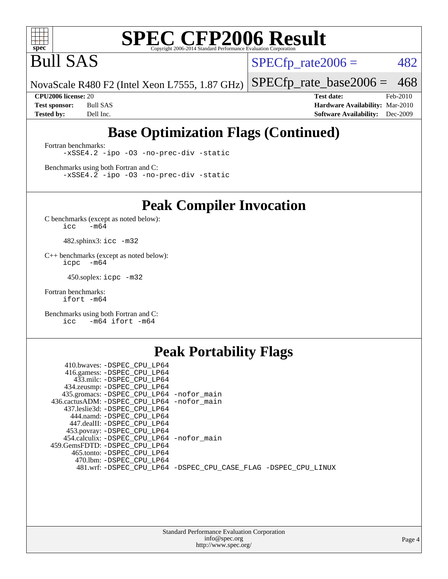

Bull SAS

 $SPECTp_rate2006 = 482$ 

NovaScale R480 F2 (Intel Xeon L7555, 1.87 GHz) [SPECfp\\_rate\\_base2006 =](http://www.spec.org/auto/cpu2006/Docs/result-fields.html#SPECfpratebase2006) 468

**[CPU2006 license:](http://www.spec.org/auto/cpu2006/Docs/result-fields.html#CPU2006license)** 20 **[Test date:](http://www.spec.org/auto/cpu2006/Docs/result-fields.html#Testdate)** Feb-2010 **[Test sponsor:](http://www.spec.org/auto/cpu2006/Docs/result-fields.html#Testsponsor)** Bull SAS **[Hardware Availability:](http://www.spec.org/auto/cpu2006/Docs/result-fields.html#HardwareAvailability)** Mar-2010 **[Tested by:](http://www.spec.org/auto/cpu2006/Docs/result-fields.html#Testedby)** Dell Inc. **[Software Availability:](http://www.spec.org/auto/cpu2006/Docs/result-fields.html#SoftwareAvailability)** Dec-2009

## **[Base Optimization Flags \(Continued\)](http://www.spec.org/auto/cpu2006/Docs/result-fields.html#BaseOptimizationFlags)**

[Fortran benchmarks](http://www.spec.org/auto/cpu2006/Docs/result-fields.html#Fortranbenchmarks): [-xSSE4.2](http://www.spec.org/cpu2006/results/res2010q3/cpu2006-20100621-11969.flags.html#user_FCbase_f-xSSE42_f91528193cf0b216347adb8b939d4107) [-ipo](http://www.spec.org/cpu2006/results/res2010q3/cpu2006-20100621-11969.flags.html#user_FCbase_f-ipo) [-O3](http://www.spec.org/cpu2006/results/res2010q3/cpu2006-20100621-11969.flags.html#user_FCbase_f-O3) [-no-prec-div](http://www.spec.org/cpu2006/results/res2010q3/cpu2006-20100621-11969.flags.html#user_FCbase_f-no-prec-div) [-static](http://www.spec.org/cpu2006/results/res2010q3/cpu2006-20100621-11969.flags.html#user_FCbase_f-static)

[Benchmarks using both Fortran and C](http://www.spec.org/auto/cpu2006/Docs/result-fields.html#BenchmarksusingbothFortranandC): [-xSSE4.2](http://www.spec.org/cpu2006/results/res2010q3/cpu2006-20100621-11969.flags.html#user_CC_FCbase_f-xSSE42_f91528193cf0b216347adb8b939d4107) [-ipo](http://www.spec.org/cpu2006/results/res2010q3/cpu2006-20100621-11969.flags.html#user_CC_FCbase_f-ipo) [-O3](http://www.spec.org/cpu2006/results/res2010q3/cpu2006-20100621-11969.flags.html#user_CC_FCbase_f-O3) [-no-prec-div](http://www.spec.org/cpu2006/results/res2010q3/cpu2006-20100621-11969.flags.html#user_CC_FCbase_f-no-prec-div) [-static](http://www.spec.org/cpu2006/results/res2010q3/cpu2006-20100621-11969.flags.html#user_CC_FCbase_f-static)

**[Peak Compiler Invocation](http://www.spec.org/auto/cpu2006/Docs/result-fields.html#PeakCompilerInvocation)**

[C benchmarks \(except as noted below\)](http://www.spec.org/auto/cpu2006/Docs/result-fields.html#Cbenchmarksexceptasnotedbelow):  $\text{icc}$  -m64

482.sphinx3: [icc -m32](http://www.spec.org/cpu2006/results/res2010q3/cpu2006-20100621-11969.flags.html#user_peakCCLD482_sphinx3_intel_icc_32bit_a6a621f8d50482236b970c6ac5f55f93)

[C++ benchmarks \(except as noted below\):](http://www.spec.org/auto/cpu2006/Docs/result-fields.html#CXXbenchmarksexceptasnotedbelow) [icpc -m64](http://www.spec.org/cpu2006/results/res2010q3/cpu2006-20100621-11969.flags.html#user_CXXpeak_intel_icpc_64bit_bedb90c1146cab66620883ef4f41a67e)

450.soplex: [icpc -m32](http://www.spec.org/cpu2006/results/res2010q3/cpu2006-20100621-11969.flags.html#user_peakCXXLD450_soplex_intel_icpc_32bit_4e5a5ef1a53fd332b3c49e69c3330699)

[Fortran benchmarks](http://www.spec.org/auto/cpu2006/Docs/result-fields.html#Fortranbenchmarks): [ifort -m64](http://www.spec.org/cpu2006/results/res2010q3/cpu2006-20100621-11969.flags.html#user_FCpeak_intel_ifort_64bit_ee9d0fb25645d0210d97eb0527dcc06e)

[Benchmarks using both Fortran and C](http://www.spec.org/auto/cpu2006/Docs/result-fields.html#BenchmarksusingbothFortranandC): [icc -m64](http://www.spec.org/cpu2006/results/res2010q3/cpu2006-20100621-11969.flags.html#user_CC_FCpeak_intel_icc_64bit_0b7121f5ab7cfabee23d88897260401c) [ifort -m64](http://www.spec.org/cpu2006/results/res2010q3/cpu2006-20100621-11969.flags.html#user_CC_FCpeak_intel_ifort_64bit_ee9d0fb25645d0210d97eb0527dcc06e)

#### **[Peak Portability Flags](http://www.spec.org/auto/cpu2006/Docs/result-fields.html#PeakPortabilityFlags)**

| 410.bwaves: -DSPEC CPU LP64                |                                                                |
|--------------------------------------------|----------------------------------------------------------------|
| 416.gamess: -DSPEC CPU LP64                |                                                                |
| 433.milc: -DSPEC CPU LP64                  |                                                                |
| 434.zeusmp: -DSPEC_CPU_LP64                |                                                                |
| 435.gromacs: -DSPEC_CPU_LP64 -nofor_main   |                                                                |
| 436.cactusADM: -DSPEC CPU LP64 -nofor main |                                                                |
| 437.leslie3d: -DSPEC CPU LP64              |                                                                |
| 444.namd: -DSPEC CPU LP64                  |                                                                |
| 447.dealII: -DSPEC CPU LP64                |                                                                |
| 453.povray: -DSPEC_CPU_LP64                |                                                                |
| 454.calculix: -DSPEC_CPU_LP64 -nofor_main  |                                                                |
| 459.GemsFDTD: -DSPEC CPU LP64              |                                                                |
| 465.tonto: -DSPEC CPU LP64                 |                                                                |
| 470.1bm: -DSPEC CPU LP64                   |                                                                |
|                                            | 481.wrf: -DSPEC_CPU_LP64 -DSPEC_CPU_CASE_FLAG -DSPEC_CPU_LINUX |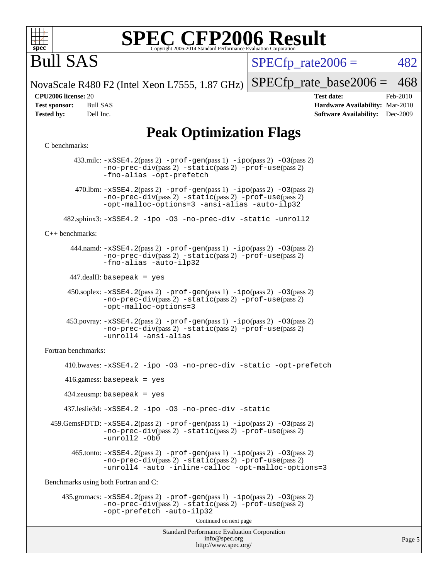

# Bull SAS

 $SPECTp\_rate2006 = 482$ 

NovaScale R480 F2 (Intel Xeon L7555, 1.87 GHz)

 $SPECTp_rate_base2006 = 468$ 

**[CPU2006 license:](http://www.spec.org/auto/cpu2006/Docs/result-fields.html#CPU2006license)** 20 **[Test date:](http://www.spec.org/auto/cpu2006/Docs/result-fields.html#Testdate)** Feb-2010 **[Test sponsor:](http://www.spec.org/auto/cpu2006/Docs/result-fields.html#Testsponsor)** Bull SAS **[Hardware Availability:](http://www.spec.org/auto/cpu2006/Docs/result-fields.html#HardwareAvailability)** Mar-2010 **[Tested by:](http://www.spec.org/auto/cpu2006/Docs/result-fields.html#Testedby)** Dell Inc. **[Software Availability:](http://www.spec.org/auto/cpu2006/Docs/result-fields.html#SoftwareAvailability)** Dec-2009

Page 5

## **[Peak Optimization Flags](http://www.spec.org/auto/cpu2006/Docs/result-fields.html#PeakOptimizationFlags)**

#### [C benchmarks](http://www.spec.org/auto/cpu2006/Docs/result-fields.html#Cbenchmarks):

Standard Performance Evaluation Corporation [info@spec.org](mailto:info@spec.org) <http://www.spec.org/> 433.milc: [-xSSE4.2](http://www.spec.org/cpu2006/results/res2010q3/cpu2006-20100621-11969.flags.html#user_peakPASS2_CFLAGSPASS2_LDFLAGS433_milc_f-xSSE42_f91528193cf0b216347adb8b939d4107)(pass 2) [-prof-gen](http://www.spec.org/cpu2006/results/res2010q3/cpu2006-20100621-11969.flags.html#user_peakPASS1_CFLAGSPASS1_LDFLAGS433_milc_prof_gen_e43856698f6ca7b7e442dfd80e94a8fc)(pass 1) [-ipo](http://www.spec.org/cpu2006/results/res2010q3/cpu2006-20100621-11969.flags.html#user_peakPASS2_CFLAGSPASS2_LDFLAGS433_milc_f-ipo)(pass 2) [-O3](http://www.spec.org/cpu2006/results/res2010q3/cpu2006-20100621-11969.flags.html#user_peakPASS2_CFLAGSPASS2_LDFLAGS433_milc_f-O3)(pass 2) [-no-prec-div](http://www.spec.org/cpu2006/results/res2010q3/cpu2006-20100621-11969.flags.html#user_peakPASS2_CFLAGSPASS2_LDFLAGS433_milc_f-no-prec-div)(pass 2) [-static](http://www.spec.org/cpu2006/results/res2010q3/cpu2006-20100621-11969.flags.html#user_peakPASS2_CFLAGSPASS2_LDFLAGS433_milc_f-static)(pass 2) [-prof-use](http://www.spec.org/cpu2006/results/res2010q3/cpu2006-20100621-11969.flags.html#user_peakPASS2_CFLAGSPASS2_LDFLAGS433_milc_prof_use_bccf7792157ff70d64e32fe3e1250b55)(pass 2) [-fno-alias](http://www.spec.org/cpu2006/results/res2010q3/cpu2006-20100621-11969.flags.html#user_peakOPTIMIZE433_milc_f-no-alias_694e77f6c5a51e658e82ccff53a9e63a) [-opt-prefetch](http://www.spec.org/cpu2006/results/res2010q3/cpu2006-20100621-11969.flags.html#user_peakOPTIMIZE433_milc_f-opt-prefetch) 470.1bm:  $-xSSE4$ . 2(pass 2)  $-prof-gen(pass 1) -ipo(pass 2) -O3(pass 2)$  $-prof-gen(pass 1) -ipo(pass 2) -O3(pass 2)$  $-prof-gen(pass 1) -ipo(pass 2) -O3(pass 2)$  $-prof-gen(pass 1) -ipo(pass 2) -O3(pass 2)$  $-prof-gen(pass 1) -ipo(pass 2) -O3(pass 2)$  $-prof-gen(pass 1) -ipo(pass 2) -O3(pass 2)$ [-no-prec-div](http://www.spec.org/cpu2006/results/res2010q3/cpu2006-20100621-11969.flags.html#user_peakPASS2_CFLAGSPASS2_LDFLAGS470_lbm_f-no-prec-div)(pass 2) [-static](http://www.spec.org/cpu2006/results/res2010q3/cpu2006-20100621-11969.flags.html#user_peakPASS2_CFLAGSPASS2_LDFLAGS470_lbm_f-static)(pass 2) [-prof-use](http://www.spec.org/cpu2006/results/res2010q3/cpu2006-20100621-11969.flags.html#user_peakPASS2_CFLAGSPASS2_LDFLAGS470_lbm_prof_use_bccf7792157ff70d64e32fe3e1250b55)(pass 2) [-opt-malloc-options=3](http://www.spec.org/cpu2006/results/res2010q3/cpu2006-20100621-11969.flags.html#user_peakOPTIMIZE470_lbm_f-opt-malloc-options_13ab9b803cf986b4ee62f0a5998c2238) [-ansi-alias](http://www.spec.org/cpu2006/results/res2010q3/cpu2006-20100621-11969.flags.html#user_peakOPTIMIZE470_lbm_f-ansi-alias) [-auto-ilp32](http://www.spec.org/cpu2006/results/res2010q3/cpu2006-20100621-11969.flags.html#user_peakCOPTIMIZE470_lbm_f-auto-ilp32) 482.sphinx3: [-xSSE4.2](http://www.spec.org/cpu2006/results/res2010q3/cpu2006-20100621-11969.flags.html#user_peakOPTIMIZE482_sphinx3_f-xSSE42_f91528193cf0b216347adb8b939d4107) [-ipo](http://www.spec.org/cpu2006/results/res2010q3/cpu2006-20100621-11969.flags.html#user_peakOPTIMIZE482_sphinx3_f-ipo) [-O3](http://www.spec.org/cpu2006/results/res2010q3/cpu2006-20100621-11969.flags.html#user_peakOPTIMIZE482_sphinx3_f-O3) [-no-prec-div](http://www.spec.org/cpu2006/results/res2010q3/cpu2006-20100621-11969.flags.html#user_peakOPTIMIZE482_sphinx3_f-no-prec-div) [-static](http://www.spec.org/cpu2006/results/res2010q3/cpu2006-20100621-11969.flags.html#user_peakOPTIMIZE482_sphinx3_f-static) [-unroll2](http://www.spec.org/cpu2006/results/res2010q3/cpu2006-20100621-11969.flags.html#user_peakCOPTIMIZE482_sphinx3_f-unroll_784dae83bebfb236979b41d2422d7ec2) [C++ benchmarks:](http://www.spec.org/auto/cpu2006/Docs/result-fields.html#CXXbenchmarks) 444.namd: [-xSSE4.2](http://www.spec.org/cpu2006/results/res2010q3/cpu2006-20100621-11969.flags.html#user_peakPASS2_CXXFLAGSPASS2_LDFLAGS444_namd_f-xSSE42_f91528193cf0b216347adb8b939d4107)(pass 2) [-prof-gen](http://www.spec.org/cpu2006/results/res2010q3/cpu2006-20100621-11969.flags.html#user_peakPASS1_CXXFLAGSPASS1_LDFLAGS444_namd_prof_gen_e43856698f6ca7b7e442dfd80e94a8fc)(pass 1) [-ipo](http://www.spec.org/cpu2006/results/res2010q3/cpu2006-20100621-11969.flags.html#user_peakPASS2_CXXFLAGSPASS2_LDFLAGS444_namd_f-ipo)(pass 2) [-O3](http://www.spec.org/cpu2006/results/res2010q3/cpu2006-20100621-11969.flags.html#user_peakPASS2_CXXFLAGSPASS2_LDFLAGS444_namd_f-O3)(pass 2) [-no-prec-div](http://www.spec.org/cpu2006/results/res2010q3/cpu2006-20100621-11969.flags.html#user_peakPASS2_CXXFLAGSPASS2_LDFLAGS444_namd_f-no-prec-div)(pass 2) [-static](http://www.spec.org/cpu2006/results/res2010q3/cpu2006-20100621-11969.flags.html#user_peakPASS2_CXXFLAGSPASS2_LDFLAGS444_namd_f-static)(pass 2) [-prof-use](http://www.spec.org/cpu2006/results/res2010q3/cpu2006-20100621-11969.flags.html#user_peakPASS2_CXXFLAGSPASS2_LDFLAGS444_namd_prof_use_bccf7792157ff70d64e32fe3e1250b55)(pass 2) [-fno-alias](http://www.spec.org/cpu2006/results/res2010q3/cpu2006-20100621-11969.flags.html#user_peakCXXOPTIMIZE444_namd_f-no-alias_694e77f6c5a51e658e82ccff53a9e63a) [-auto-ilp32](http://www.spec.org/cpu2006/results/res2010q3/cpu2006-20100621-11969.flags.html#user_peakCXXOPTIMIZE444_namd_f-auto-ilp32) 447.dealII: basepeak = yes 450.soplex: [-xSSE4.2](http://www.spec.org/cpu2006/results/res2010q3/cpu2006-20100621-11969.flags.html#user_peakPASS2_CXXFLAGSPASS2_LDFLAGS450_soplex_f-xSSE42_f91528193cf0b216347adb8b939d4107)(pass 2) [-prof-gen](http://www.spec.org/cpu2006/results/res2010q3/cpu2006-20100621-11969.flags.html#user_peakPASS1_CXXFLAGSPASS1_LDFLAGS450_soplex_prof_gen_e43856698f6ca7b7e442dfd80e94a8fc)(pass 1) [-ipo](http://www.spec.org/cpu2006/results/res2010q3/cpu2006-20100621-11969.flags.html#user_peakPASS2_CXXFLAGSPASS2_LDFLAGS450_soplex_f-ipo)(pass 2) [-O3](http://www.spec.org/cpu2006/results/res2010q3/cpu2006-20100621-11969.flags.html#user_peakPASS2_CXXFLAGSPASS2_LDFLAGS450_soplex_f-O3)(pass 2) [-no-prec-div](http://www.spec.org/cpu2006/results/res2010q3/cpu2006-20100621-11969.flags.html#user_peakPASS2_CXXFLAGSPASS2_LDFLAGS450_soplex_f-no-prec-div)(pass 2) [-static](http://www.spec.org/cpu2006/results/res2010q3/cpu2006-20100621-11969.flags.html#user_peakPASS2_CXXFLAGSPASS2_LDFLAGS450_soplex_f-static)(pass 2) [-prof-use](http://www.spec.org/cpu2006/results/res2010q3/cpu2006-20100621-11969.flags.html#user_peakPASS2_CXXFLAGSPASS2_LDFLAGS450_soplex_prof_use_bccf7792157ff70d64e32fe3e1250b55)(pass 2) [-opt-malloc-options=3](http://www.spec.org/cpu2006/results/res2010q3/cpu2006-20100621-11969.flags.html#user_peakOPTIMIZE450_soplex_f-opt-malloc-options_13ab9b803cf986b4ee62f0a5998c2238) 453.povray: [-xSSE4.2](http://www.spec.org/cpu2006/results/res2010q3/cpu2006-20100621-11969.flags.html#user_peakPASS2_CXXFLAGSPASS2_LDFLAGS453_povray_f-xSSE42_f91528193cf0b216347adb8b939d4107)(pass 2) [-prof-gen](http://www.spec.org/cpu2006/results/res2010q3/cpu2006-20100621-11969.flags.html#user_peakPASS1_CXXFLAGSPASS1_LDFLAGS453_povray_prof_gen_e43856698f6ca7b7e442dfd80e94a8fc)(pass 1) [-ipo](http://www.spec.org/cpu2006/results/res2010q3/cpu2006-20100621-11969.flags.html#user_peakPASS2_CXXFLAGSPASS2_LDFLAGS453_povray_f-ipo)(pass 2) [-O3](http://www.spec.org/cpu2006/results/res2010q3/cpu2006-20100621-11969.flags.html#user_peakPASS2_CXXFLAGSPASS2_LDFLAGS453_povray_f-O3)(pass 2) [-no-prec-div](http://www.spec.org/cpu2006/results/res2010q3/cpu2006-20100621-11969.flags.html#user_peakPASS2_CXXFLAGSPASS2_LDFLAGS453_povray_f-no-prec-div)(pass 2) [-static](http://www.spec.org/cpu2006/results/res2010q3/cpu2006-20100621-11969.flags.html#user_peakPASS2_CXXFLAGSPASS2_LDFLAGS453_povray_f-static)(pass 2) [-prof-use](http://www.spec.org/cpu2006/results/res2010q3/cpu2006-20100621-11969.flags.html#user_peakPASS2_CXXFLAGSPASS2_LDFLAGS453_povray_prof_use_bccf7792157ff70d64e32fe3e1250b55)(pass 2) [-unroll4](http://www.spec.org/cpu2006/results/res2010q3/cpu2006-20100621-11969.flags.html#user_peakCXXOPTIMIZE453_povray_f-unroll_4e5e4ed65b7fd20bdcd365bec371b81f) [-ansi-alias](http://www.spec.org/cpu2006/results/res2010q3/cpu2006-20100621-11969.flags.html#user_peakCXXOPTIMIZE453_povray_f-ansi-alias) [Fortran benchmarks](http://www.spec.org/auto/cpu2006/Docs/result-fields.html#Fortranbenchmarks): 410.bwaves: [-xSSE4.2](http://www.spec.org/cpu2006/results/res2010q3/cpu2006-20100621-11969.flags.html#user_peakOPTIMIZE410_bwaves_f-xSSE42_f91528193cf0b216347adb8b939d4107) [-ipo](http://www.spec.org/cpu2006/results/res2010q3/cpu2006-20100621-11969.flags.html#user_peakOPTIMIZE410_bwaves_f-ipo) [-O3](http://www.spec.org/cpu2006/results/res2010q3/cpu2006-20100621-11969.flags.html#user_peakOPTIMIZE410_bwaves_f-O3) [-no-prec-div](http://www.spec.org/cpu2006/results/res2010q3/cpu2006-20100621-11969.flags.html#user_peakOPTIMIZE410_bwaves_f-no-prec-div) [-static](http://www.spec.org/cpu2006/results/res2010q3/cpu2006-20100621-11969.flags.html#user_peakOPTIMIZE410_bwaves_f-static) [-opt-prefetch](http://www.spec.org/cpu2006/results/res2010q3/cpu2006-20100621-11969.flags.html#user_peakOPTIMIZE410_bwaves_f-opt-prefetch) 416.gamess: basepeak = yes 434.zeusmp: basepeak = yes 437.leslie3d: [-xSSE4.2](http://www.spec.org/cpu2006/results/res2010q3/cpu2006-20100621-11969.flags.html#user_peakOPTIMIZE437_leslie3d_f-xSSE42_f91528193cf0b216347adb8b939d4107) [-ipo](http://www.spec.org/cpu2006/results/res2010q3/cpu2006-20100621-11969.flags.html#user_peakOPTIMIZE437_leslie3d_f-ipo) [-O3](http://www.spec.org/cpu2006/results/res2010q3/cpu2006-20100621-11969.flags.html#user_peakOPTIMIZE437_leslie3d_f-O3) [-no-prec-div](http://www.spec.org/cpu2006/results/res2010q3/cpu2006-20100621-11969.flags.html#user_peakOPTIMIZE437_leslie3d_f-no-prec-div) [-static](http://www.spec.org/cpu2006/results/res2010q3/cpu2006-20100621-11969.flags.html#user_peakOPTIMIZE437_leslie3d_f-static) 459.GemsFDTD: [-xSSE4.2](http://www.spec.org/cpu2006/results/res2010q3/cpu2006-20100621-11969.flags.html#user_peakPASS2_FFLAGSPASS2_LDFLAGS459_GemsFDTD_f-xSSE42_f91528193cf0b216347adb8b939d4107)(pass 2) [-prof-gen](http://www.spec.org/cpu2006/results/res2010q3/cpu2006-20100621-11969.flags.html#user_peakPASS1_FFLAGSPASS1_LDFLAGS459_GemsFDTD_prof_gen_e43856698f6ca7b7e442dfd80e94a8fc)(pass 1) [-ipo](http://www.spec.org/cpu2006/results/res2010q3/cpu2006-20100621-11969.flags.html#user_peakPASS2_FFLAGSPASS2_LDFLAGS459_GemsFDTD_f-ipo)(pass 2) [-O3](http://www.spec.org/cpu2006/results/res2010q3/cpu2006-20100621-11969.flags.html#user_peakPASS2_FFLAGSPASS2_LDFLAGS459_GemsFDTD_f-O3)(pass 2) [-no-prec-div](http://www.spec.org/cpu2006/results/res2010q3/cpu2006-20100621-11969.flags.html#user_peakPASS2_FFLAGSPASS2_LDFLAGS459_GemsFDTD_f-no-prec-div)(pass 2) [-static](http://www.spec.org/cpu2006/results/res2010q3/cpu2006-20100621-11969.flags.html#user_peakPASS2_FFLAGSPASS2_LDFLAGS459_GemsFDTD_f-static)(pass 2) [-prof-use](http://www.spec.org/cpu2006/results/res2010q3/cpu2006-20100621-11969.flags.html#user_peakPASS2_FFLAGSPASS2_LDFLAGS459_GemsFDTD_prof_use_bccf7792157ff70d64e32fe3e1250b55)(pass 2) [-unroll2](http://www.spec.org/cpu2006/results/res2010q3/cpu2006-20100621-11969.flags.html#user_peakOPTIMIZE459_GemsFDTD_f-unroll_784dae83bebfb236979b41d2422d7ec2) [-Ob0](http://www.spec.org/cpu2006/results/res2010q3/cpu2006-20100621-11969.flags.html#user_peakOPTIMIZE459_GemsFDTD_f-Ob_n_fbe6f6428adb7d4b74b1e99bb2444c2d)  $465$ .tonto:  $-xSSE4$ .  $2(pass 2)$  [-prof-gen](http://www.spec.org/cpu2006/results/res2010q3/cpu2006-20100621-11969.flags.html#user_peakPASS1_FFLAGSPASS1_LDFLAGS465_tonto_prof_gen_e43856698f6ca7b7e442dfd80e94a8fc)(pass 1) [-ipo](http://www.spec.org/cpu2006/results/res2010q3/cpu2006-20100621-11969.flags.html#user_peakPASS2_FFLAGSPASS2_LDFLAGS465_tonto_f-ipo)(pass 2) -03(pass 2) [-no-prec-div](http://www.spec.org/cpu2006/results/res2010q3/cpu2006-20100621-11969.flags.html#user_peakPASS2_FFLAGSPASS2_LDFLAGS465_tonto_f-no-prec-div)(pass 2) [-static](http://www.spec.org/cpu2006/results/res2010q3/cpu2006-20100621-11969.flags.html#user_peakPASS2_FFLAGSPASS2_LDFLAGS465_tonto_f-static)(pass 2) [-prof-use](http://www.spec.org/cpu2006/results/res2010q3/cpu2006-20100621-11969.flags.html#user_peakPASS2_FFLAGSPASS2_LDFLAGS465_tonto_prof_use_bccf7792157ff70d64e32fe3e1250b55)(pass 2) [-unroll4](http://www.spec.org/cpu2006/results/res2010q3/cpu2006-20100621-11969.flags.html#user_peakOPTIMIZE465_tonto_f-unroll_4e5e4ed65b7fd20bdcd365bec371b81f) [-auto](http://www.spec.org/cpu2006/results/res2010q3/cpu2006-20100621-11969.flags.html#user_peakOPTIMIZE465_tonto_f-auto) [-inline-calloc](http://www.spec.org/cpu2006/results/res2010q3/cpu2006-20100621-11969.flags.html#user_peakOPTIMIZE465_tonto_f-inline-calloc) [-opt-malloc-options=3](http://www.spec.org/cpu2006/results/res2010q3/cpu2006-20100621-11969.flags.html#user_peakOPTIMIZE465_tonto_f-opt-malloc-options_13ab9b803cf986b4ee62f0a5998c2238) [Benchmarks using both Fortran and C](http://www.spec.org/auto/cpu2006/Docs/result-fields.html#BenchmarksusingbothFortranandC): 435.gromacs: [-xSSE4.2](http://www.spec.org/cpu2006/results/res2010q3/cpu2006-20100621-11969.flags.html#user_peakPASS2_CFLAGSPASS2_FFLAGSPASS2_LDFLAGS435_gromacs_f-xSSE42_f91528193cf0b216347adb8b939d4107)(pass 2) [-prof-gen](http://www.spec.org/cpu2006/results/res2010q3/cpu2006-20100621-11969.flags.html#user_peakPASS1_CFLAGSPASS1_FFLAGSPASS1_LDFLAGS435_gromacs_prof_gen_e43856698f6ca7b7e442dfd80e94a8fc)(pass 1) [-ipo](http://www.spec.org/cpu2006/results/res2010q3/cpu2006-20100621-11969.flags.html#user_peakPASS2_CFLAGSPASS2_FFLAGSPASS2_LDFLAGS435_gromacs_f-ipo)(pass 2) [-O3](http://www.spec.org/cpu2006/results/res2010q3/cpu2006-20100621-11969.flags.html#user_peakPASS2_CFLAGSPASS2_FFLAGSPASS2_LDFLAGS435_gromacs_f-O3)(pass 2) [-no-prec-div](http://www.spec.org/cpu2006/results/res2010q3/cpu2006-20100621-11969.flags.html#user_peakPASS2_CFLAGSPASS2_FFLAGSPASS2_LDFLAGS435_gromacs_f-no-prec-div)(pass 2) [-static](http://www.spec.org/cpu2006/results/res2010q3/cpu2006-20100621-11969.flags.html#user_peakPASS2_CFLAGSPASS2_FFLAGSPASS2_LDFLAGS435_gromacs_f-static)(pass 2) [-prof-use](http://www.spec.org/cpu2006/results/res2010q3/cpu2006-20100621-11969.flags.html#user_peakPASS2_CFLAGSPASS2_FFLAGSPASS2_LDFLAGS435_gromacs_prof_use_bccf7792157ff70d64e32fe3e1250b55)(pass 2) [-opt-prefetch](http://www.spec.org/cpu2006/results/res2010q3/cpu2006-20100621-11969.flags.html#user_peakOPTIMIZE435_gromacs_f-opt-prefetch) [-auto-ilp32](http://www.spec.org/cpu2006/results/res2010q3/cpu2006-20100621-11969.flags.html#user_peakCOPTIMIZE435_gromacs_f-auto-ilp32) Continued on next page